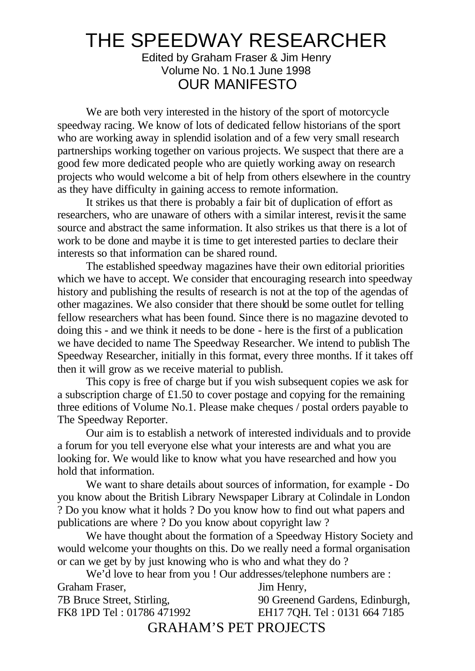## THE SPEEDWAY RESEARCHER

Edited by Graham Fraser & Jim Henry Volume No. 1 No.1 June 1998 OUR MANIFESTO

We are both very interested in the history of the sport of motorcycle speedway racing. We know of lots of dedicated fellow historians of the sport who are working away in splendid isolation and of a few very small research partnerships working together on various projects. We suspect that there are a good few more dedicated people who are quietly working away on research projects who would welcome a bit of help from others elsewhere in the country as they have difficulty in gaining access to remote information.

It strikes us that there is probably a fair bit of duplication of effort as researchers, who are unaware of others with a similar interest, revisit the same source and abstract the same information. It also strikes us that there is a lot of work to be done and maybe it is time to get interested parties to declare their interests so that information can be shared round.

 The established speedway magazines have their own editorial priorities which we have to accept. We consider that encouraging research into speedway history and publishing the results of research is not at the top of the agendas of other magazines. We also consider that there should be some outlet for telling fellow researchers what has been found. Since there is no magazine devoted to doing this - and we think it needs to be done - here is the first of a publication we have decided to name The Speedway Researcher. We intend to publish The Speedway Researcher, initially in this format, every three months. If it takes off then it will grow as we receive material to publish.

This copy is free of charge but if you wish subsequent copies we ask for a subscription charge of £1.50 to cover postage and copying for the remaining three editions of Volume No.1. Please make cheques / postal orders payable to The Speedway Reporter.

Our aim is to establish a network of interested individuals and to provide a forum for you tell everyone else what your interests are and what you are looking for. We would like to know what you have researched and how you hold that information.

 We want to share details about sources of information, for example - Do you know about the British Library Newspaper Library at Colindale in London ? Do you know what it holds ? Do you know how to find out what papers and publications are where ? Do you know about copyright law ?

We have thought about the formation of a Speedway History Society and would welcome your thoughts on this. Do we really need a formal organisation or can we get by by just knowing who is who and what they do ?

We'd love to hear from you ! Our addresses/telephone numbers are :

| Graham Fraser,               | Jim Henry,                      |
|------------------------------|---------------------------------|
| 7B Bruce Street, Stirling,   | 90 Greenend Gardens, Edinburgh, |
| FK8 1PD Tel: 01786 471992    | EH17 7QH. Tel: 0131 664 7185    |
| <b>GRAHAM'S PET PROJECTS</b> |                                 |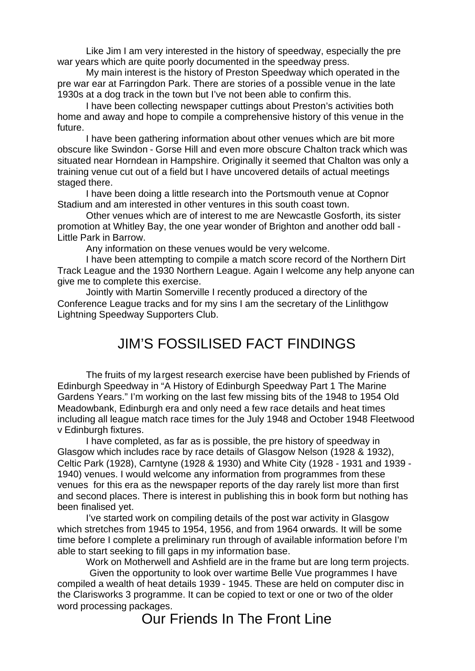Like Jim I am very interested in the history of speedway, especially the pre war years which are quite poorly documented in the speedway press.

 My main interest is the history of Preston Speedway which operated in the pre war ear at Farringdon Park. There are stories of a possible venue in the late 1930s at a dog track in the town but I've not been able to confirm this.

 I have been collecting newspaper cuttings about Preston's activities both home and away and hope to compile a comprehensive history of this venue in the future.

I have been gathering information about other venues which are bit more obscure like Swindon - Gorse Hill and even more obscure Chalton track which was situated near Horndean in Hampshire. Originally it seemed that Chalton was only a training venue cut out of a field but I have uncovered details of actual meetings staged there.

I have been doing a little research into the Portsmouth venue at Copnor Stadium and am interested in other ventures in this south coast town.

Other venues which are of interest to me are Newcastle Gosforth, its sister promotion at Whitley Bay, the one year wonder of Brighton and another odd ball - Little Park in Barrow.

Any information on these venues would be very welcome.

I have been attempting to compile a match score record of the Northern Dirt Track League and the 1930 Northern League. Again I welcome any help anyone can give me to complete this exercise.

Jointly with Martin Somerville I recently produced a directory of the Conference League tracks and for my sins I am the secretary of the Linlithgow Lightning Speedway Supporters Club.

## JIM'S FOSSILISED FACT FINDINGS

The fruits of my largest research exercise have been published by Friends of Edinburgh Speedway in "A History of Edinburgh Speedway Part 1 The Marine Gardens Years." I'm working on the last few missing bits of the 1948 to 1954 Old Meadowbank, Edinburgh era and only need a few race details and heat times including all league match race times for the July 1948 and October 1948 Fleetwood v Edinburgh fixtures.

 I have completed, as far as is possible, the pre history of speedway in Glasgow which includes race by race details of Glasgow Nelson (1928 & 1932), Celtic Park (1928), Carntyne (1928 & 1930) and White City (1928 - 1931 and 1939 - 1940) venues. I would welcome any information from programmes from these venues for this era as the newspaper reports of the day rarely list more than first and second places. There is interest in publishing this in book form but nothing has been finalised yet.

I've started work on compiling details of the post war activity in Glasgow which stretches from 1945 to 1954, 1956, and from 1964 onwards. It will be some time before I complete a preliminary run through of available information before I'm able to start seeking to fill gaps in my information base.

Work on Motherwell and Ashfield are in the frame but are long term projects.

 Given the opportunity to look over wartime Belle Vue programmes I have compiled a wealth of heat details 1939 - 1945. These are held on computer disc in the Clarisworks 3 programme. It can be copied to text or one or two of the older word processing packages.

Our Friends In The Front Line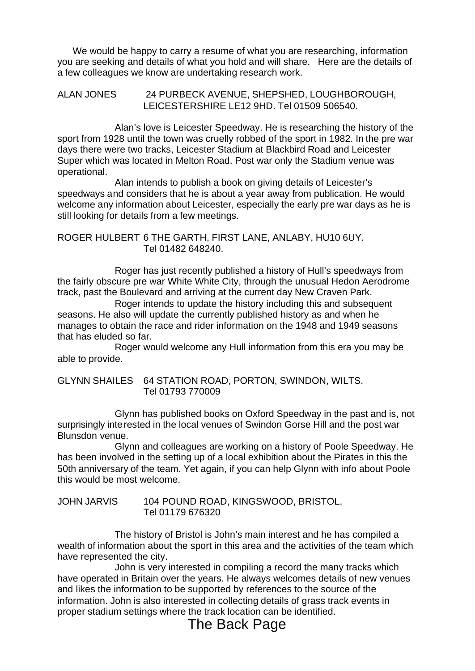We would be happy to carry a resume of what you are researching, information you are seeking and details of what you hold and will share. Here are the details of a few colleagues we know are undertaking research work.

ALAN JONES 24 PURBECK AVENUE, SHEPSHED, LOUGHBOROUGH, LEICESTERSHIRE LE12 9HD. Tel 01509 506540.

Alan's love is Leicester Speedway. He is researching the history of the sport from 1928 until the town was cruelly robbed of the sport in 1982. In the pre war days there were two tracks, Leicester Stadium at Blackbird Road and Leicester Super which was located in Melton Road. Post war only the Stadium venue was operational.

Alan intends to publish a book on giving details of Leicester's speedways and considers that he is about a year away from publication. He would welcome any information about Leicester, especially the early pre war days as he is still looking for details from a few meetings.

ROGER HULBERT 6 THE GARTH, FIRST LANE, ANLABY, HU10 6UY. Tel 01482 648240.

Roger has just recently published a history of Hull's speedways from the fairly obscure pre war White White City, through the unusual Hedon Aerodrome track, past the Boulevard and arriving at the current day New Craven Park.

Roger intends to update the history including this and subsequent seasons. He also will update the currently published history as and when he manages to obtain the race and rider information on the 1948 and 1949 seasons that has eluded so far.

 Roger would welcome any Hull information from this era you may be able to provide.

GLYNN SHAILES 64 STATION ROAD, PORTON, SWINDON, WILTS. Tel 01793 770009

Glynn has published books on Oxford Speedway in the past and is, not surprisingly interested in the local venues of Swindon Gorse Hill and the post war Blunsdon venue.

Glynn and colleagues are working on a history of Poole Speedway. He has been involved in the setting up of a local exhibition about the Pirates in this the 50th anniversary of the team. Yet again, if you can help Glynn with info about Poole this would be most welcome.

JOHN JARVIS 104 POUND ROAD, KINGSWOOD, BRISTOL. Tel 01179 676320

The history of Bristol is John's main interest and he has compiled a wealth of information about the sport in this area and the activities of the team which have represented the city.

John is very interested in compiling a record the many tracks which have operated in Britain over the years. He always welcomes details of new venues and likes the information to be supported by references to the source of the information. John is also interested in collecting details of grass track events in proper stadium settings where the track location can be identified.

## The Back Page